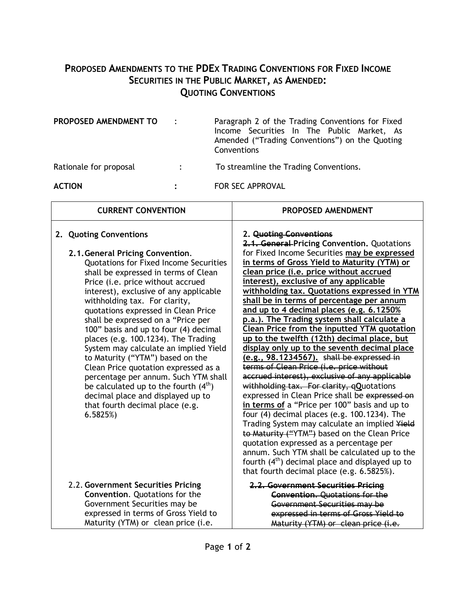## **PROPOSED AMENDMENTS TO THE PDEX TRADING CONVENTIONS FOR FIXED INCOME SECURITIES IN THE PUBLIC MARKET, AS AMENDED: QUOTING CONVENTIONS**

| PROPOSED AMENDMENT TO  | Paragraph 2 of the Trading Conventions for Fixed<br>Income Securities In The Public Market, As<br>Amended ("Trading Conventions") on the Quoting<br>Conventions |
|------------------------|-----------------------------------------------------------------------------------------------------------------------------------------------------------------|
| Rationale for proposal | To streamline the Trading Conventions.                                                                                                                          |
| <b>ACTION</b>          | <b>FOR SEC APPROVAL</b>                                                                                                                                         |

 $\lceil$ 

| <b>CURRENT CONVENTION</b>                                                                                                                                                                                                                                                                                                                                                                                                                                                                                                                                                                                                                                                                                                   | PROPOSED AMENDMENT                                                                                                                                                                                                                                                                                                                                                                                                                                                                                                                                                                                                                                                                                                                                                                                                                                                                                                                                                                                                                                                                                                                                                                                                                                    |
|-----------------------------------------------------------------------------------------------------------------------------------------------------------------------------------------------------------------------------------------------------------------------------------------------------------------------------------------------------------------------------------------------------------------------------------------------------------------------------------------------------------------------------------------------------------------------------------------------------------------------------------------------------------------------------------------------------------------------------|-------------------------------------------------------------------------------------------------------------------------------------------------------------------------------------------------------------------------------------------------------------------------------------------------------------------------------------------------------------------------------------------------------------------------------------------------------------------------------------------------------------------------------------------------------------------------------------------------------------------------------------------------------------------------------------------------------------------------------------------------------------------------------------------------------------------------------------------------------------------------------------------------------------------------------------------------------------------------------------------------------------------------------------------------------------------------------------------------------------------------------------------------------------------------------------------------------------------------------------------------------|
| 2. Quoting Conventions<br>2.1. General Pricing Convention.<br><b>Quotations for Fixed Income Securities</b><br>shall be expressed in terms of Clean<br>Price (i.e. price without accrued<br>interest), exclusive of any applicable<br>withholding tax. For clarity,<br>quotations expressed in Clean Price<br>shall be expressed on a "Price per<br>100" basis and up to four (4) decimal<br>places (e.g. 100.1234). The Trading<br>System may calculate an implied Yield<br>to Maturity ("YTM") based on the<br>Clean Price quotation expressed as a<br>percentage per annum. Such YTM shall<br>be calculated up to the fourth $(4th)$<br>decimal place and displayed up to<br>that fourth decimal place (e.g.<br>6.5825%) | 2. Quoting Conventions<br>2.1. General-Pricing Convention. Quotations<br>for Fixed Income Securities may be expressed<br>in terms of Gross Yield to Maturity (YTM) or<br>clean price (i.e. price without accrued<br>interest), exclusive of any applicable<br>withholding tax. Quotations expressed in YTM<br>shall be in terms of percentage per annum<br>and up to 4 decimal places (e.g. 6.1250%<br>p.a.). The Trading system shall calculate a<br><b>Clean Price from the inputted YTM quotation</b><br>up to the twelfth (12th) decimal place, but<br>display only up to the seventh decimal place<br>(e.g., 98.1234567). shall be expressed in<br>terms of Clean Price (i.e. price without<br>accrued interest), exclusive of any applicable<br>withholding tax. For clarity, qQuotations<br>expressed in Clean Price shall be expressed on<br>in terms of a "Price per 100" basis and up to<br>four $(4)$ decimal places $(e.g. 100.1234)$ . The<br>Trading System may calculate an implied Yield<br>to Maturity ("YTM") based on the Clean Price<br>quotation expressed as a percentage per<br>annum. Such YTM shall be calculated up to the<br>fourth $(4th)$ decimal place and displayed up to<br>that fourth decimal place (e.g. 6.5825%). |
| 2.2. Government Securities Pricing<br>Convention. Quotations for the<br>Government Securities may be<br>expressed in terms of Gross Yield to<br>Maturity (YTM) or clean price (i.e.                                                                                                                                                                                                                                                                                                                                                                                                                                                                                                                                         | 2.2. Government Securities Pricing<br><b>Convention.</b> Quotations for the<br>Government Securities may be<br>expressed in terms of Gross Yield to<br>Maturity (YTM) or clean price (i.e.                                                                                                                                                                                                                                                                                                                                                                                                                                                                                                                                                                                                                                                                                                                                                                                                                                                                                                                                                                                                                                                            |